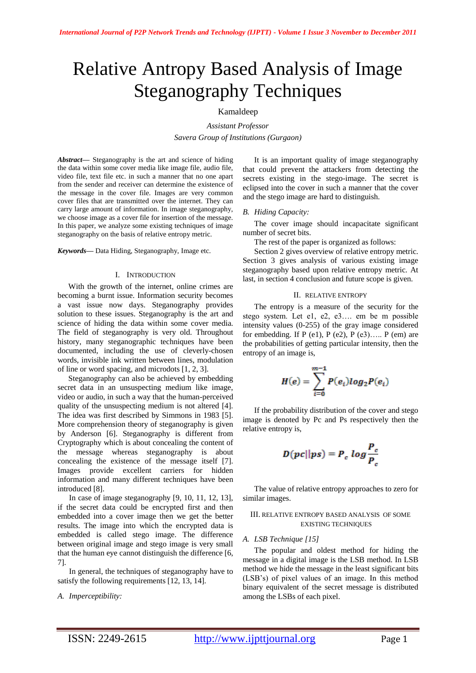# Relative Antropy Based Analysis of Image Steganography Techniques

# Kamaldeep

*Assistant Professor Savera Group of Institutions (Gurgaon)*

*Abstract***—** Steganography is the art and science of hiding the data within some cover media like image file, audio file, video file, text file etc. in such a manner that no one apart from the sender and receiver can determine the existence of the message in the cover file. Images are very common cover files that are transmitted over the internet. They can carry large amount of information. In image steganography, we choose image as a cover file for insertion of the message. In this paper, we analyze some existing techniques of image steganography on the basis of relative entropy metric.

#### *Keywords***—** Data Hiding, Steganography, Image etc.

#### I. INTRODUCTION

With the growth of the internet, online crimes are becoming a burnt issue. Information security becomes a vast issue now days. Steganography provides solution to these issues. Steganography is the art and science of hiding the data within some cover media. The field of steganography is very old. Throughout history, many steganographic techniques have been documented, including the use of cleverly-chosen words, invisible ink written between lines, modulation of line or word spacing, and microdots [1, 2, 3].

Steganography can also be achieved by embedding secret data in an unsuspecting medium like image, video or audio, in such a way that the human-perceived quality of the unsuspecting medium is not altered [4]. The idea was first described by Simmons in 1983 [5]. More comprehension theory of steganography is given by Anderson [6]. Steganography is different from Cryptography which is about concealing the content of the message whereas steganography is about concealing the existence of the message itself [7]. Images provide excellent carriers for hidden information and many different techniques have been introduced [8].

In case of image steganography [9, 10, 11, 12, 13], if the secret data could be encrypted first and then embedded into a cover image then we get the better results. The image into which the encrypted data is embedded is called stego image. The difference between original image and stego image is very small that the human eye cannot distinguish the difference [6, 7].

In general, the techniques of steganography have to satisfy the following requirements [12, 13, 14].

#### *A. Imperceptibility:*

It is an important quality of image steganography that could prevent the attackers from detecting the secrets existing in the stego-image. The secret is eclipsed into the cover in such a manner that the cover and the stego image are hard to distinguish.

#### *B. Hiding Capacity:*

The cover image should incapacitate significant number of secret bits.

The rest of the paper is organized as follows:

Section 2 gives overview of relative entropy metric. Section 3 gives analysis of various existing image steganography based upon relative entropy metric. At last, in section 4 conclusion and future scope is given.

#### II. RELATIVE ENTROPY

The entropy is a measure of the security for the stego system. Let e1, e2, e3…. em be m possible intensity values (0-255) of the gray image considered for embedding. If P (e1), P (e2), P (e3)..... P (em) are the probabilities of getting particular intensity, then the entropy of an image is,

$$
H(e) = \sum_{i=0}^{m-1} P(e_i)log_2P(e_i)
$$

If the probability distribution of the cover and stego image is denoted by Pc and Ps respectively then the relative entropy is,

$$
D(pc||ps) = P_c \log \frac{P_c}{P_c}
$$

The value of relative entropy approaches to zero for similar images.

#### III. RELATIVE ENTROPY BASED ANALYSIS OF SOME EXISTING TECHNIQUES

#### *A. LSB Technique [15]*

The popular and oldest method for hiding the message in a digital image is the LSB method. In LSB method we hide the message in the least significant bits (LSB"s) of pixel values of an image. In this method binary equivalent of the secret message is distributed among the LSBs of each pixel.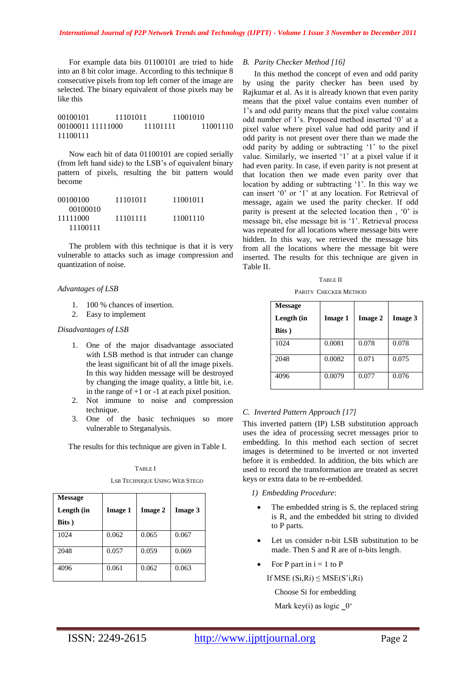For example data bits 01100101 are tried to hide into an 8 bit color image. According to this technique 8 consecutive pixels from top left corner of the image are selected. The binary equivalent of those pixels may be like this

00100101 11101011 11001010 00100011 11111000 11101111 11001110 11100111

Now each bit of data 01100101 are copied serially (from left hand side) to the LSB"s of equivalent binary pattern of pixels, resulting the bit pattern would become

| 00100100 | 11101011 | 11001011 |
|----------|----------|----------|
| 00100010 |          |          |
| 11111000 | 11101111 | 11001110 |
| 11100111 |          |          |

The problem with this technique is that it is very vulnerable to attacks such as image compression and quantization of noise.

# *Advantages of LSB*

- 1. 100 % chances of insertion.
- 2. Easy to implement

# *Disadvantages of LSB*

- 1. One of the major disadvantage associated with LSB method is that intruder can change the least significant bit of all the image pixels. In this way hidden message will be destroyed by changing the image quality, a little bit, i.e. in the range of  $+1$  or  $-1$  at each pixel position.
- 2. Not immune to noise and compression technique.
- 3. One of the basic techniques so more vulnerable to Steganalysis.

The results for this technique are given in Table I.

TABLE I

**Message Length (in Bits ) Image 1 Image 2 Image 3** 1024 0.062 0.065 0.067 2048 0.057 0.059 0.069 4096 0.061 0.062 0.063

# LSB TECHNIQUE USING WEB STEGO

#### *B. Parity Checker Method [16]*

In this method the concept of even and odd parity by using the parity checker has been used by Rajkumar et al. As it is already known that even parity means that the pixel value contains even number of 1"s and odd parity means that the pixel value contains odd number of 1"s. Proposed method inserted "0" at a pixel value where pixel value had odd parity and if odd parity is not present over there than we made the odd parity by adding or subtracting "1" to the pixel value. Similarly, we inserted "1" at a pixel value if it had even parity. In case, if even parity is not present at that location then we made even parity over that location by adding or subtracting '1'. In this way we can insert "0" or "1" at any location. For Retrieval of message, again we used the parity checker. If odd parity is present at the selected location then , "0" is message bit, else message bit is "1". Retrieval process was repeated for all locations where message bits were hidden. In this way, we retrieved the message bits from all the locations where the message bit were inserted. The results for this technique are given in Table II.

|  | I |
|--|---|
|  |   |

PARITY CHECKER METHOD

| <b>Message</b><br>Length (in<br>Bits) | <b>Image 1</b> | <b>Image 2</b> | <b>Image 3</b> |
|---------------------------------------|----------------|----------------|----------------|
| 1024                                  | 0.0081         | 0.078          | 0.078          |
| 2048                                  | 0.0082         | 0.071          | 0.075          |
| 4096                                  | 0.0079         | 0.077          | 0.076          |

# *C. Inverted Pattern Approach [17]*

This inverted pattern (IP) LSB substitution approach uses the idea of processing secret messages prior to embedding. In this method each section of secret images is determined to be inverted or not inverted before it is embedded. In addition, the bits which are used to record the transformation are treated as secret keys or extra data to be re-embedded.

- *1) Embedding Procedure*:
	- The embedded string is S, the replaced string is R, and the embedded bit string to divided to P parts.
	- Let us consider n-bit LSB substitution to be made. Then S and R are of n-bits length.
- For P part in  $i = 1$  to P

If MSE  $(Si, Ri) \leq MSE(S'i, Ri)$ 

Choose Si for embedding

Mark key(i) as logic  $0^{\circ}$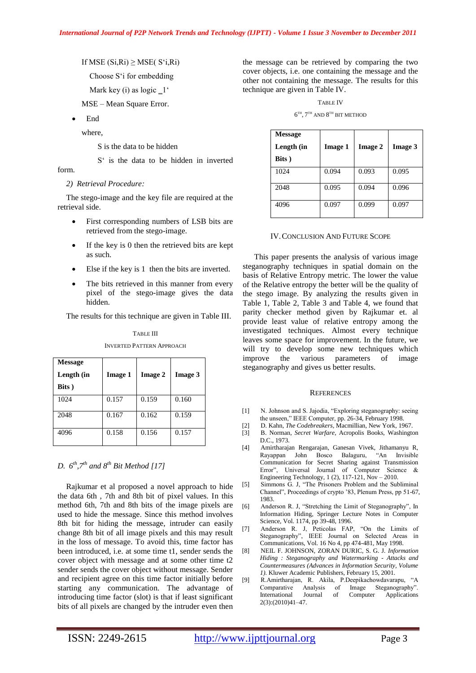If MSE  $(Si, Ri) \geq MSE(S'i, Ri)$ 

Choose S"i for embedding

Mark key (i) as  $logic_1$ "

MSE – Mean Square Error.

End

where,

S is the data to be hidden

S<sup>"</sup> is the data to be hidden in inverted

form.

# *2) Retrieval Procedure:*

The stego-image and the key file are required at the retrieval side.

- First corresponding numbers of LSB bits are retrieved from the stego-image.
- If the key is 0 then the retrieved bits are kept as such.
- Else if the key is 1 then the bits are inverted.
- The bits retrieved in this manner from every pixel of the stego-image gives the data hidden.

The results for this technique are given in Table III.

| <b>Message</b><br>Length (in<br>Bits) | <b>Image 1</b> | Image 2 | <b>Image 3</b> |
|---------------------------------------|----------------|---------|----------------|
| 1024                                  | 0.157          | 0.159   | 0.160          |
| 2048                                  | 0.167          | 0.162   | 0.159          |
| 4096                                  | 0.158          | 0.156   | 0.157          |

# TABLE III

INVERTED PATTERN APPROACH

# *D. 6 th,7th and 8th Bit Method [17]*

Rajkumar et al proposed a novel approach to hide the data 6th , 7th and 8th bit of pixel values. In this method 6th, 7th and 8th bits of the image pixels are used to hide the message. Since this method involves 8th bit for hiding the message, intruder can easily change 8th bit of all image pixels and this may result in the loss of message. To avoid this, time factor has been introduced, i.e. at some time t1, sender sends the cover object with message and at some other time t2 sender sends the cover object without message. Sender and recipient agree on this time factor initially before starting any communication. The advantage of introducing time factor (slot) is that if least significant bits of all pixels are changed by the intruder even then the message can be retrieved by comparing the two cover objects, i.e. one containing the message and the other not containing the message. The results for this technique are given in Table IV.

TABLE IV

 $6^{TH}$ ,  $7^{TH}$  AND  $8^{TH}$  BIT METHOD

| <b>Message</b><br>Length (in<br>Bits) | <b>Image 1</b> | <b>Image 2</b> | <b>Image 3</b> |
|---------------------------------------|----------------|----------------|----------------|
| 1024                                  | 0.094          | 0.093          | 0.095          |
| 2048                                  | 0.095          | 0.094          | 0.096          |
| 4096                                  | 0.097          | 0.099          | 0.097          |

# IV.CONCLUSION AND FUTURE SCOPE

This paper presents the analysis of various image steganography techniques in spatial domain on the basis of Relative Entropy metric. The lower the value of the Relative entropy the better will be the quality of the stego image. By analyzing the results given in Table 1, Table 2, Table 3 and Table 4, we found that parity checker method given by Rajkumar et. al provide least value of relative entropy among the investigated techniques. Almost every technique leaves some space for improvement. In the future, we will try to develop some new techniques which improve the various parameters of image steganography and gives us better results.

# **REFERENCES**

- [1] N. Johnson and S. Jajodia, "Exploring steganography: seeing the unseen," IEEE Computer, pp. 26-34, February 1998.
- [2] D. Kahn, *The Codebreakers,* Macmillian, New York, 1967.
- [3] B. Norman, *Secret Warfare*, Acropolis Books, Washington D.C., 1973.
- [4] Amirtharajan Rengarajan, Ganesan Vivek, Jithamanyu R, Rayappan John Bosco Balaguru, "An Invisible Communication for Secret Sharing against Transmission Error", Universal Journal of Computer Science & Engineering Technology, 1 (2), 117-121, Nov – 2010.
- [5] Simmons G. J, "The Prisoners Problem and the Subliminal Channel", Proceedings of crypto "83, Plenum Press, pp 51-67, 1983.
- [6] Anderson R. J, "Stretching the Limit of Steganography", In Information Hiding, Springer Lecture Notes in Computer Science, Vol. 1174, pp 39-48, 1996.
- [7] Anderson R. J, Peticolas FAP, "On the Limits of Steganography", IEEE Journal on Selected Areas in Communications, Vol. 16 No 4, pp 474-481, May 1998.
- [8] NEIL F. JOHNSON, ZORAN DURIC, S. G. J. *Information Hiding : Steganography and Watermarking - Attacks and Countermeasures (Advances in Information Security, Volume 1)*. Kluwer Academic Publishers, February 15, 2001.
- [9] R.Amirtharajan, R. Akila, P.Deepikachowdavarapu, "A Comparative Analysis of Image Steganography". International Journal of Computer Applications 2(3):(2010)41–47.